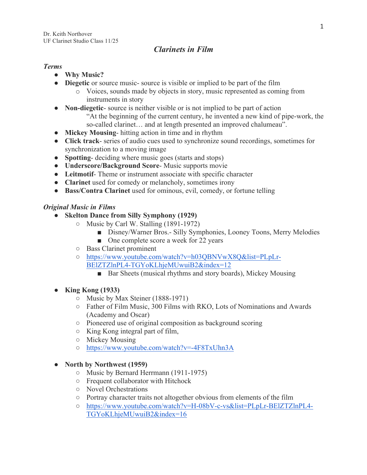## *Clarinets in Film*

## *Terms*

- **Why Music?**
- **Diegetic** or source music- source is visible or implied to be part of the film
	- o Voices, sounds made by objects in story, music represented as coming from instruments in story
- **Non-diegetic** source is neither visible or is not implied to be part of action "At the beginning of the current century, he invented a new kind of pipe-work, the so-called clarinet… and at length presented an improved chalumeau".
- **Mickey Mousing** hitting action in time and in rhythm
- **Click track** series of audio cues used to synchronize sound recordings, sometimes for synchronization to a moving image
- **Spotting-** deciding where music goes (starts and stops)
- **Underscore/Background Score** Music supports movie
- **Leitmotif** Theme or instrument associate with specific character
- **Clarinet** used for comedy or melancholy, sometimes irony
- **Bass/Contra Clarinet** used for ominous, evil, comedy, or fortune telling

## *Original Music in Films*

- **Skelton Dance from Silly Symphony (1929)**
	- Music by Carl W. Stalling (1891-1972)
		- Disney/Warner Bros. Silly Symphonies, Looney Toons, Merry Melodies
		- One complete score a week for 22 years
	- Bass Clarinet prominent
	- https://www.youtube.com/watch?v=h03QBNVwX8Q&list=PLpLr-BElZTZlnPL4-TGYoKLhjeMUwuiB2&index=12
		- Bar Sheets (musical rhythms and story boards), Mickey Mousing

## ● **King Kong (1933)**

- Music by Max Steiner (1888-1971)
- Father of Film Music, 300 Films with RKO, Lots of Nominations and Awards (Academy and Oscar)
- Pioneered use of original composition as background scoring
- King Kong integral part of film,
- Mickey Mousing
- https://www.youtube.com/watch?v=-4F8TxUhn3A

## ● **North by Northwest (1959)**

- Music by Bernard Herrmann (1911-1975)
- Frequent collaborator with Hitchock
- Novel Orchestrations
- Portray character traits not altogether obvious from elements of the film
- https://www.youtube.com/watch?v=H-08bV-c-vs&list=PLpLr-BElZTZlnPL4- TGYoKLhjeMUwuiB2&index=16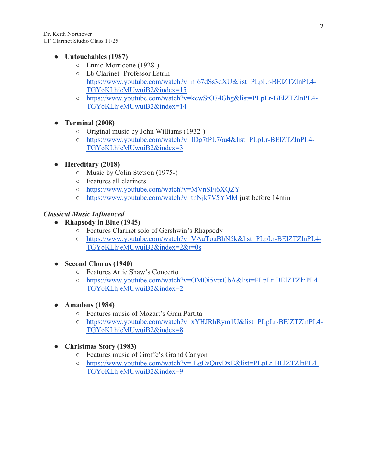Dr. Keith Northover UF Clarinet Studio Class 11/25

#### ● **Untouchables (1987)**

- Ennio Morricone (1928-)
- Eb Clarinet- Professor Estrin https://www.youtube.com/watch?v=nI67dSs3dXU&list=PLpLr-BElZTZlnPL4- TGYoKLhjeMUwuiB2&index=15
- https://www.youtube.com/watch?v=kcwStO74Ghg&list=PLpLr-BElZTZlnPL4- TGYoKLhjeMUwuiB2&index=14

## ● **Terminal (2008)**

- Original music by John Williams (1932-)
- https://www.youtube.com/watch?v=IDg7tPL76u4&list=PLpLr-BElZTZlnPL4- TGYoKLhjeMUwuiB2&index=3
- **Hereditary (2018)**
	- Music by Colin Stetson (1975-)
	- Features all clarinets
	- https://www.youtube.com/watch?v=MVnSFj6XQZY
	- https://www.youtube.com/watch?v=tbNjk7V5YMM just before 14min

## *Classical Music Influenced*

- **Rhapsody in Blue (1945)**
	- Features Clarinet solo of Gershwin's Rhapsody
	- https://www.youtube.com/watch?v=VAuTouBhN5k&list=PLpLr-BElZTZlnPL4- TGYoKLhjeMUwuiB2&index=2&t=0s

## ● **Second Chorus (1940)**

- Features Artie Shaw's Concerto
- https://www.youtube.com/watch?v=OMOi5vtxCbA&list=PLpLr-BElZTZlnPL4- TGYoKLhjeMUwuiB2&index=2
- **Amadeus (1984)**
	- Features music of Mozart's Gran Partita
	- https://www.youtube.com/watch?v=xYHJRhRym1U&list=PLpLr-BElZTZlnPL4- TGYoKLhjeMUwuiB2&index=8
- **Christmas Story (1983)**
	- Features music of Groffe's Grand Canyon
	- https://www.youtube.com/watch?v=-LgEvQuyDxE&list=PLpLr-BElZTZlnPL4- TGYoKLhjeMUwuiB2&index=9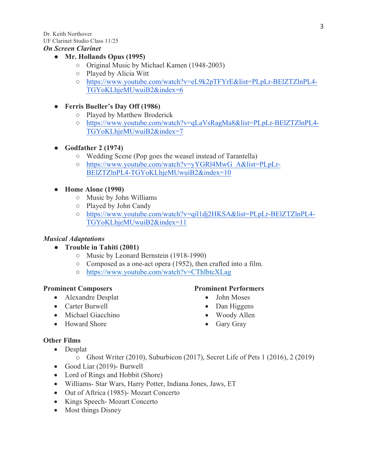UF Clarinet Studio Class 11/25

#### *On Screen Clarinet*

## ● **Mr. Hollands Opus (1995)**

- Original Music by Michael Kamen (1948-2003)
- Played by Alicia Witt
- https://www.youtube.com/watch?v=eL9k2pTFYrE&list=PLpLr-BElZTZlnPL4- TGYoKLhjeMUwuiB2&index=6

## ● **Ferris Bueller's Day Off (1986)**

- Played by Matthew Broderick
- https://www.youtube.com/watch?v=qLaVsRagMa8&list=PLpLr-BElZTZlnPL4- TGYoKLhjeMUwuiB2&index=7

## ● **Godfather 2 (1974)**

- Wedding Scene (Pop goes the weasel instead of Tarantella)
- https://www.youtube.com/watch?v=yYGRl4MwG\_A&list=PLpLr-BElZTZlnPL4-TGYoKLhjeMUwuiB2&index=10
- **Home Alone (1990)**
	- Music by John Williams
	- Played by John Candy
	- https://www.youtube.com/watch?v=qil1dj2HKSA&list=PLpLr-BElZTZlnPL4- TGYoKLhjeMUwuiB2&index=11

## *Musical Adaptations*

- **Trouble in Tahiti (2001)**
	- Music by Leonard Bernstein (1918-1990)
	- Composed as a one-act opera (1952), then crafted into a film.
	- https://www.youtube.com/watch?v=CThlbtcXLag

## **Prominent Composers**

- Alexandre Desplat
- Carter Burwell
- Michael Giacchino
- Howard Shore

## **Prominent Performers**

- John Moses
- Dan Higgens
- Woody Allen
- Gary Gray

## **Other Films**

- Desplat
	- o Ghost Writer (2010), Suburbicon (2017), Secret Life of Pets 1 (2016), 2 (2019)
- Good Liar (2019)- Burwell
- Lord of Rings and Hobbit (Shore)
- Williams- Star Wars, Harry Potter, Indiana Jones, Jaws, ET
- Out of Aftrica (1985)- Mozart Concerto
- Kings Speech-Mozart Concerto
- Most things Disney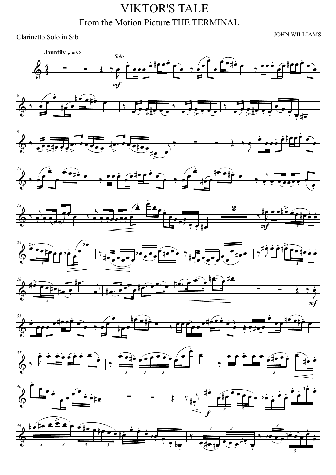# **VIKTOR'S TALE** From the Motion Picture THE TERMINAL

Clarinetto Solo in Sib

**JOHN WILLIAMS**